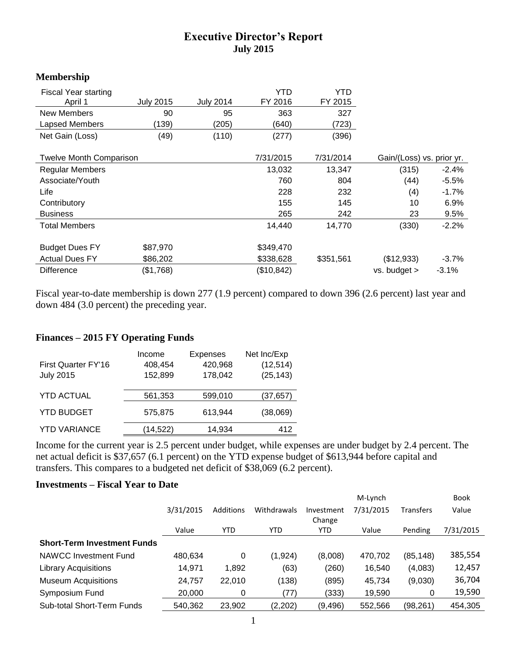## **Executive Director's Report July 2015**

## **Membership**

| <b>Fiscal Year starting</b>    |                  |                  | <b>YTD</b> | YTD       |                           |         |
|--------------------------------|------------------|------------------|------------|-----------|---------------------------|---------|
| April 1                        | <b>July 2015</b> | <b>July 2014</b> | FY 2016    | FY 2015   |                           |         |
| New Members                    | 90               | 95               | 363        | 327       |                           |         |
| <b>Lapsed Members</b>          | (139)            | (205)            | (640)      | (723)     |                           |         |
| Net Gain (Loss)                | (49)             | (110)            | (277)      | (396)     |                           |         |
|                                |                  |                  |            |           |                           |         |
| <b>Twelve Month Comparison</b> |                  |                  | 7/31/2015  | 7/31/2014 | Gain/(Loss) vs. prior yr. |         |
| <b>Regular Members</b>         |                  |                  | 13,032     | 13,347    | (315)                     | $-2.4%$ |
| Associate/Youth                |                  |                  | 760        | 804       | (44)                      | $-5.5%$ |
| Life                           |                  |                  | 228        | 232       | (4)                       | $-1.7%$ |
| Contributory                   |                  |                  | 155        | 145       | 10                        | 6.9%    |
| <b>Business</b>                |                  |                  | 265        | 242       | 23                        | 9.5%    |
| <b>Total Members</b>           |                  |                  | 14,440     | 14,770    | (330)                     | $-2.2%$ |
|                                |                  |                  |            |           |                           |         |
| <b>Budget Dues FY</b>          | \$87,970         |                  | \$349,470  |           |                           |         |
| <b>Actual Dues FY</b>          | \$86,202         |                  | \$338,628  | \$351,561 | (\$12,933)                | $-3.7%$ |
| <b>Difference</b>              | (\$1,768)        |                  | (\$10,842) |           | $vs.$ budget $>$          | $-3.1%$ |

Fiscal year-to-date membership is down 277 (1.9 percent) compared to down 396 (2.6 percent) last year and down 484 (3.0 percent) the preceding year.

## **Finances – 2015 FY Operating Funds**

|                     | Income   | <b>Expenses</b> | Net Inc/Exp |
|---------------------|----------|-----------------|-------------|
| First Quarter FY'16 | 408,454  | 420,968         | (12, 514)   |
| <b>July 2015</b>    | 152,899  | 178,042         | (25, 143)   |
| <b>YTD ACTUAL</b>   | 561,353  | 599,010         | (37, 657)   |
| <b>YTD BUDGET</b>   | 575,875  | 613,944         | (38,069)    |
| <b>YTD VARIANCE</b> | (14,522) | 14,934          | 412         |

Income for the current year is 2.5 percent under budget, while expenses are under budget by 2.4 percent. The net actual deficit is \$37,657 (6.1 percent) on the YTD expense budget of \$613,944 before capital and transfers. This compares to a budgeted net deficit of \$38,069 (6.2 percent).

## **Investments – Fiscal Year to Date**

|                                    |           |           |             |                      | M-Lynch   |                  | <b>Book</b> |
|------------------------------------|-----------|-----------|-------------|----------------------|-----------|------------------|-------------|
|                                    | 3/31/2015 | Additions | Withdrawals | Investment<br>Change | 7/31/2015 | <b>Transfers</b> | Value       |
|                                    | Value     | YTD       | YTD.        | <b>YTD</b>           | Value     | Pending          | 7/31/2015   |
| <b>Short-Term Investment Funds</b> |           |           |             |                      |           |                  |             |
| NAWCC Investment Fund              | 480,634   | 0         | (1, 924)    | (8,008)              | 470,702   | (85, 148)        | 385,554     |
| <b>Library Acquisitions</b>        | 14,971    | 1,892     | (63)        | (260)                | 16,540    | (4,083)          | 12,457      |
| <b>Museum Acquisitions</b>         | 24,757    | 22,010    | (138)       | (895)                | 45,734    | (9,030)          | 36,704      |
| Symposium Fund                     | 20,000    | 0         | (77)        | (333)                | 19,590    | 0                | 19,590      |
| Sub-total Short-Term Funds         | 540,362   | 23,902    | (2, 202)    | (9, 496)             | 552,566   | (98,261)         | 454,305     |